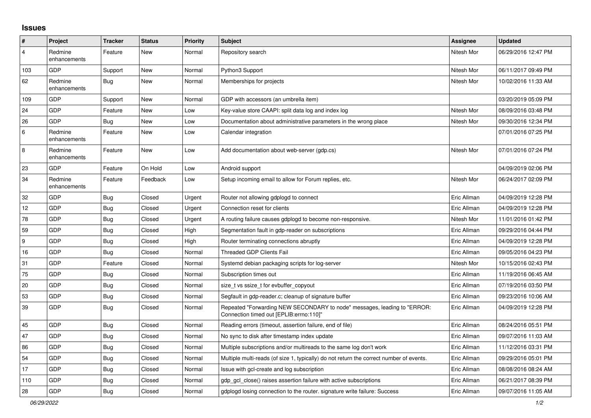## **Issues**

| $\vert$ #      | Project                 | <b>Tracker</b> | <b>Status</b> | <b>Priority</b> | <b>Subject</b>                                                                                                      | <b>Assignee</b> | <b>Updated</b>      |
|----------------|-------------------------|----------------|---------------|-----------------|---------------------------------------------------------------------------------------------------------------------|-----------------|---------------------|
| $\overline{4}$ | Redmine<br>enhancements | Feature        | New           | Normal          | Repository search                                                                                                   | Nitesh Mor      | 06/29/2016 12:47 PM |
| 103            | <b>GDP</b>              | Support        | New           | Normal          | Python3 Support                                                                                                     | Nitesh Mor      | 06/11/2017 09:49 PM |
| 62             | Redmine<br>enhancements | Bug            | New           | Normal          | Memberships for projects                                                                                            | Nitesh Mor      | 10/02/2016 11:33 AM |
| 109            | <b>GDP</b>              | Support        | New           | Normal          | GDP with accessors (an umbrella item)                                                                               |                 | 03/20/2019 05:09 PM |
| 24             | GDP                     | Feature        | New           | Low             | Key-value store CAAPI: split data log and index log                                                                 | Nitesh Mor      | 08/09/2016 03:48 PM |
| 26             | <b>GDP</b>              | Bug            | <b>New</b>    | Low             | Documentation about administrative parameters in the wrong place                                                    | Nitesh Mor      | 09/30/2016 12:34 PM |
| 6              | Redmine<br>enhancements | Feature        | New           | Low             | Calendar integration                                                                                                |                 | 07/01/2016 07:25 PM |
| $\bf 8$        | Redmine<br>enhancements | Feature        | <b>New</b>    | Low             | Add documentation about web-server (gdp.cs)                                                                         | Nitesh Mor      | 07/01/2016 07:24 PM |
| 23             | GDP                     | Feature        | On Hold       | Low             | Android support                                                                                                     |                 | 04/09/2019 02:06 PM |
| 34             | Redmine<br>enhancements | Feature        | Feedback      | Low             | Setup incoming email to allow for Forum replies, etc.                                                               | Nitesh Mor      | 06/24/2017 02:09 PM |
| 32             | GDP                     | <b>Bug</b>     | Closed        | Urgent          | Router not allowing gdplogd to connect                                                                              | Eric Allman     | 04/09/2019 12:28 PM |
| 12             | GDP                     | <b>Bug</b>     | Closed        | Urgent          | Connection reset for clients                                                                                        | Eric Allman     | 04/09/2019 12:28 PM |
| 78             | GDP                     | Bug            | Closed        | Urgent          | A routing failure causes gdplogd to become non-responsive.                                                          | Nitesh Mor      | 11/01/2016 01:42 PM |
| 59             | <b>GDP</b>              | Bug            | Closed        | High            | Segmentation fault in gdp-reader on subscriptions                                                                   | Eric Allman     | 09/29/2016 04:44 PM |
| 9              | GDP                     | <b>Bug</b>     | Closed        | High            | Router terminating connections abruptly                                                                             | Eric Allman     | 04/09/2019 12:28 PM |
| 16             | GDP                     | <b>Bug</b>     | Closed        | Normal          | <b>Threaded GDP Clients Fail</b>                                                                                    | Eric Allman     | 09/05/2016 04:23 PM |
| 31             | <b>GDP</b>              | Feature        | Closed        | Normal          | Systemd debian packaging scripts for log-server                                                                     | Nitesh Mor      | 10/15/2016 02:43 PM |
| 75             | GDP                     | <b>Bug</b>     | Closed        | Normal          | Subscription times out                                                                                              | Eric Allman     | 11/19/2016 06:45 AM |
| 20             | GDP                     | <b>Bug</b>     | Closed        | Normal          | size_t vs ssize_t for evbuffer_copyout                                                                              | Eric Allman     | 07/19/2016 03:50 PM |
| 53             | GDP                     | Bug            | Closed        | Normal          | Segfault in gdp-reader.c; cleanup of signature buffer                                                               | Eric Allman     | 09/23/2016 10:06 AM |
| 39             | GDP                     | Bug            | Closed        | Normal          | Repeated "Forwarding NEW SECONDARY to node" messages, leading to "ERROR:<br>Connection timed out [EPLIB:errno:110]" | Eric Allman     | 04/09/2019 12:28 PM |
| 45             | GDP                     | <b>Bug</b>     | Closed        | Normal          | Reading errors (timeout, assertion failure, end of file)                                                            | Eric Allman     | 08/24/2016 05:51 PM |
| 47             | GDP                     | <b>Bug</b>     | Closed        | Normal          | No sync to disk after timestamp index update                                                                        | Eric Allman     | 09/07/2016 11:03 AM |
| 86             | GDP                     | Bug            | Closed        | Normal          | Multiple subscriptions and/or multireads to the same log don't work                                                 | Eric Allman     | 11/12/2016 03:31 PM |
| 54             | GDP                     | <b>Bug</b>     | Closed        | Normal          | Multiple multi-reads (of size 1, typically) do not return the correct number of events.                             | Eric Allman     | 09/29/2016 05:01 PM |
| 17             | <b>GDP</b>              | Bug            | Closed        | Normal          | Issue with gcl-create and log subscription                                                                          | Eric Allman     | 08/08/2016 08:24 AM |
| 110            | GDP                     | <b>Bug</b>     | Closed        | Normal          | gdp gcl close() raises assertion failure with active subscriptions                                                  | Eric Allman     | 06/21/2017 08:39 PM |
| 28             | <b>GDP</b>              | <b>Bug</b>     | Closed        | Normal          | adpload losing connection to the router, signature write failure: Success                                           | Eric Allman     | 09/07/2016 11:05 AM |